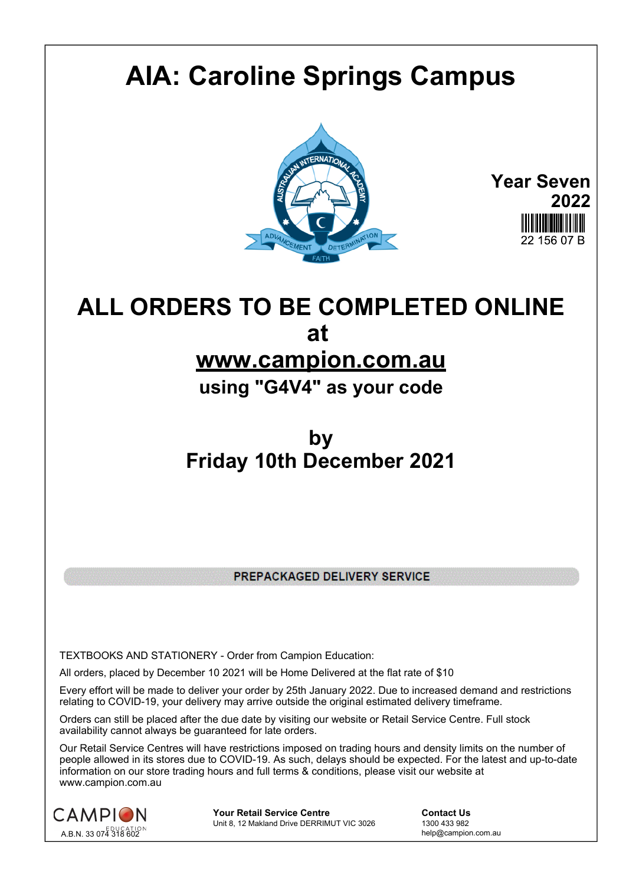## **AIA: Caroline Springs Campus**



**Year Seven 2022** 22 156 07 B

## **ALL ORDERS TO BE COMPLETED ONLINE at**

## **www.campion.com.au**

**using "G4V4" as your code**

## **by Friday 10th December 2021**

PREPACKAGED DELIVERY SERVICE

TEXTBOOKS AND STATIONERY - Order from Campion Education:

All orders, placed by December 10 2021 will be Home Delivered at the flat rate of \$10

Every effort will be made to deliver your order by 25th January 2022. Due to increased demand and restrictions relating to COVID-19, your delivery may arrive outside the original estimated delivery timeframe.

Orders can still be placed after the due date by visiting our website or Retail Service Centre. Full stock availability cannot always be guaranteed for late orders.

Our Retail Service Centres will have restrictions imposed on trading hours and density limits on the number of people allowed in its stores due to COVID-19. As such, delays should be expected. For the latest and up-to-date information on our store trading hours and full terms & conditions, please visit our website at www.campion.com.au



**Your Retail Service Centre Contact Us**<br>
Unit 8, 12 Makland Drive DERRIMUT VIC 3026
1300 433 982 Unit 8, 12 Makland Drive DERRIMUT VIC 3026

help@campion.com.au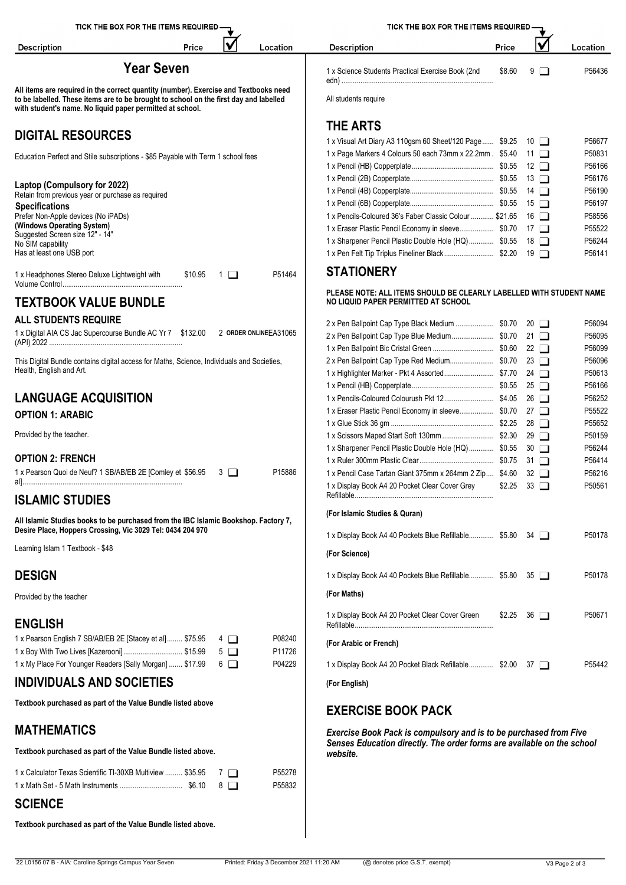| ✔<br>Price<br>Location<br><b>Description</b>                                                                                                                                                                                               | <b>Description</b>                                                                                         | Price  | √                 | Location         |
|--------------------------------------------------------------------------------------------------------------------------------------------------------------------------------------------------------------------------------------------|------------------------------------------------------------------------------------------------------------|--------|-------------------|------------------|
| <b>Year Seven</b>                                                                                                                                                                                                                          | 1 x Science Students Practical Exercise Book (2nd                                                          | \$8.60 | $9$ $\Box$        | P56436           |
| All items are required in the correct quantity (number). Exercise and Textbooks need<br>to be labelled. These items are to be brought to school on the first day and labelled<br>with student's name. No liquid paper permitted at school. | All students require                                                                                       |        |                   |                  |
| <b>DIGITAL RESOURCES</b>                                                                                                                                                                                                                   | <b>THE ARTS</b>                                                                                            |        |                   |                  |
|                                                                                                                                                                                                                                            | 1 x Visual Art Diary A3 110gsm 60 Sheet/120 Page \$9.25 10                                                 |        |                   | P56677           |
| Education Perfect and Stile subscriptions - \$85 Payable with Term 1 school fees                                                                                                                                                           | 1 x Page Markers 4 Colours 50 each 73mm x 22.2mm. \$5.40 11                                                |        |                   | P50831           |
|                                                                                                                                                                                                                                            |                                                                                                            |        |                   | P56166           |
| Laptop (Compulsory for 2022)                                                                                                                                                                                                               |                                                                                                            |        |                   | P56176<br>P56190 |
| Retain from previous year or purchase as required                                                                                                                                                                                          |                                                                                                            |        |                   | P56197           |
| <b>Specifications</b><br>Prefer Non-Apple devices (No iPADs)                                                                                                                                                                               | 1 x Pencils-Coloured 36's Faber Classic Colour  \$21.65 16                                                 |        |                   | P58556           |
| (Windows Operating System)<br>Suggested Screen size 12" - 14"                                                                                                                                                                              | 1 x Eraser Plastic Pencil Economy in sleeve \$0.70 17                                                      |        |                   | P55522           |
| No SIM capability                                                                                                                                                                                                                          | 1 x Sharpener Pencil Plastic Double Hole (HQ) \$0.55 18                                                    |        |                   | P56244           |
| Has at least one USB port                                                                                                                                                                                                                  | 1 x Pen Felt Tip Triplus Fineliner Black \$2.20 19                                                         |        |                   | P56141           |
| P51464<br>1 x Headphones Stereo Deluxe Lightweight with<br>\$10.95<br>$\blacksquare$ 1 $\blacksquare$                                                                                                                                      | <b>STATIONERY</b>                                                                                          |        |                   |                  |
| <b>TEXTBOOK VALUE BUNDLE</b>                                                                                                                                                                                                               | PLEASE NOTE: ALL ITEMS SHOULD BE CLEARLY LABELLED WITH STUDENT NAME<br>NO LIQUID PAPER PERMITTED AT SCHOOL |        |                   |                  |
| <b>ALL STUDENTS REQUIRE</b>                                                                                                                                                                                                                |                                                                                                            |        |                   | P56094           |
| 1 x Digital AIA CS Jac Supercourse Bundle AC Yr 7 \$132.00 2 ORDER ONLINEEA31065                                                                                                                                                           | 2 x Pen Ballpoint Cap Type Blue Medium \$0.70 21                                                           |        |                   | P56095           |
|                                                                                                                                                                                                                                            |                                                                                                            |        |                   | P56099           |
| This Digital Bundle contains digital access for Maths, Science, Individuals and Societies,                                                                                                                                                 |                                                                                                            |        |                   | P56096           |
| Health, English and Art.                                                                                                                                                                                                                   | 1 x Highlighter Marker - Pkt 4 Assorted \$7.70 24                                                          |        |                   | P50613           |
|                                                                                                                                                                                                                                            |                                                                                                            |        |                   | P56166           |
| <b>LANGUAGE ACQUISITION</b>                                                                                                                                                                                                                | 1 x Eraser Plastic Pencil Economy in sleeve \$0.70 27                                                      |        |                   | P56252<br>P55522 |
| <b>OPTION 1: ARABIC</b>                                                                                                                                                                                                                    |                                                                                                            |        |                   | P55652           |
| Provided by the teacher.                                                                                                                                                                                                                   |                                                                                                            |        |                   | P50159           |
|                                                                                                                                                                                                                                            | 1 x Sharpener Pencil Plastic Double Hole (HQ) \$0.55 30                                                    |        |                   | P56244           |
| <b>OPTION 2: FRENCH</b>                                                                                                                                                                                                                    |                                                                                                            |        |                   | P56414           |
| 1 x Pearson Quoi de Neuf? 1 SB/AB/EB 2E [Comley et \$56.95 3<br>P15886                                                                                                                                                                     | 1 x Pencil Case Tartan Giant 375mm x 264mm 2 Zip \$4.60 32                                                 |        |                   | P56216           |
| <b>ISLAMIC STUDIES</b>                                                                                                                                                                                                                     | 1 x Display Book A4 20 Pocket Clear Cover Grev                                                             |        | $$2.25$ 33 $\Box$ | P50561           |
| All Islamic Studies books to be purchased from the IBC Islamic Bookshop. Factory 7,                                                                                                                                                        | (For Islamic Studies & Quran)                                                                              |        |                   |                  |
| Desire Place, Hoppers Crossing, Vic 3029 Tel: 0434 204 970                                                                                                                                                                                 | 1 x Display Book A4 40 Pockets Blue Refillable \$5.80 34                                                   |        |                   | P50178           |
| Learning Islam 1 Textbook - \$48                                                                                                                                                                                                           | (For Science)                                                                                              |        |                   |                  |
| <b>DESIGN</b>                                                                                                                                                                                                                              | 1 x Display Book A4 40 Pockets Blue Refillable \$5.80 35                                                   |        |                   | P50178           |
| Provided by the teacher                                                                                                                                                                                                                    | (For Maths)                                                                                                |        |                   |                  |
|                                                                                                                                                                                                                                            | 1 x Display Book A4 20 Pocket Clear Cover Green                                                            |        | $$2.25$ 36 $\Box$ | P50671           |
| <b>ENGLISH</b><br>1 x Pearson English 7 SB/AB/EB 2E [Stacey et al] \$75.95<br>P08240<br>$4\Box$                                                                                                                                            |                                                                                                            |        |                   |                  |
| 1 x Boy With Two Lives [Kazerooni] \$15.99<br>P11726<br>$5\Box$                                                                                                                                                                            | (For Arabic or French)                                                                                     |        |                   |                  |
| 1 x My Place For Younger Readers [Sally Morgan]  \$17.99<br>P04229<br>$6$ $\Box$                                                                                                                                                           | 1 x Display Book A4 20 Pocket Black Refillable \$2.00 37                                                   |        |                   | P55442           |
| <b>INDIVIDUALS AND SOCIETIES</b>                                                                                                                                                                                                           | (For English)                                                                                              |        |                   |                  |
| Textbook purchased as part of the Value Bundle listed above                                                                                                                                                                                | <b>EXERCISE BOOK PACK</b>                                                                                  |        |                   |                  |
| <b>MATHEMATICS</b>                                                                                                                                                                                                                         | Exercise Book Pack is compulsory and is to be purchased from Five                                          |        |                   |                  |
| Textbook purchased as part of the Value Bundle listed above.                                                                                                                                                                               | Senses Education directly. The order forms are available on the school<br>website.                         |        |                   |                  |
| 1 x Calculator Texas Scientific TI-30XB Multiview  \$35.95<br>P55278<br>7 O<br>8 □<br>P55832                                                                                                                                               |                                                                                                            |        |                   |                  |
| <b>SCIENCE</b>                                                                                                                                                                                                                             |                                                                                                            |        |                   |                  |
|                                                                                                                                                                                                                                            |                                                                                                            |        |                   |                  |